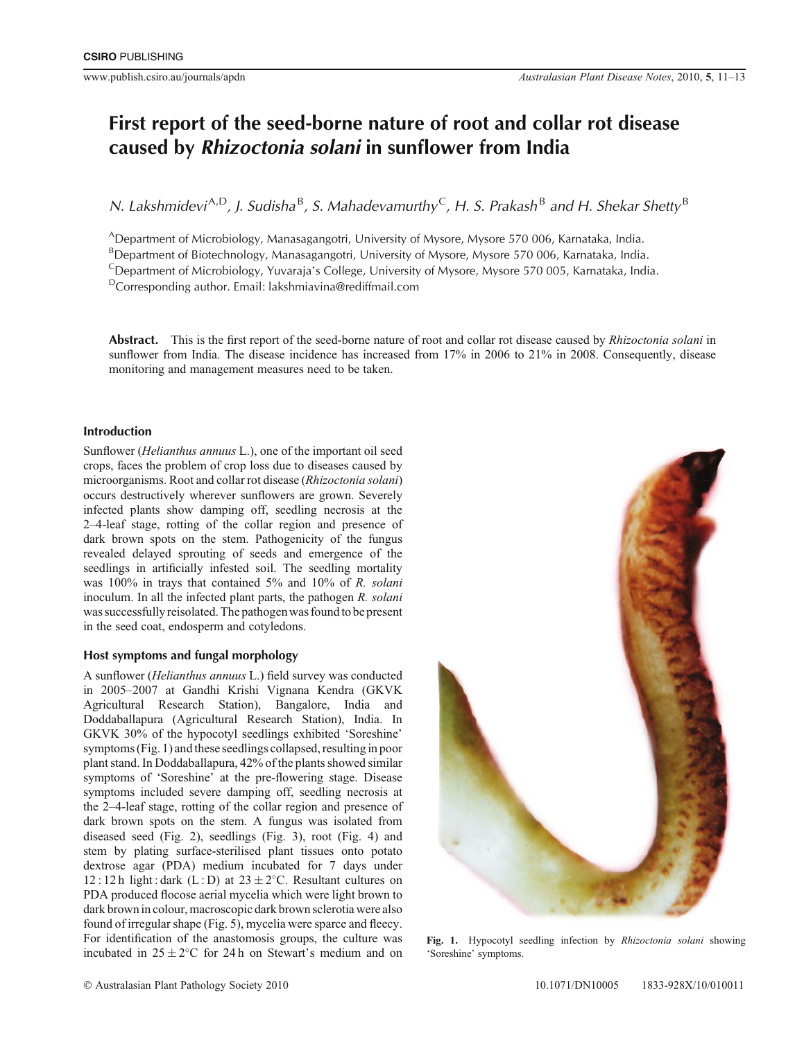## **First report of the seed-borne nature of root and collar rot disease caused by** *Rhizoctonia solani* **in sunflower from India**

*N. Lakshmidevi*A,D*, J. Sudisha* B *, S. Mahadevamurthy*C*, H. S. Prakash* B *and H. Shekar Shetty* B

ADepartment of Microbiology, Manasagangotri, University of Mysore, Mysore 570 006, Karnataka, India.

<sup>B</sup>Department of Biotechnology, Manasagangotri, University of Mysore, Mysore 570 006, Karnataka, India.

<sup>C</sup>Department of Microbiology, Yuvaraja's College, University of Mysore, Mysore 570 005, Karnataka, India.

DCorresponding author. Email: lakshmiavina@rediffmail.com

**Abstract.** This is the first report of the seed-borne nature of root and collar rot disease caused by *Rhizoctonia solani* in sunflower from India. The disease incidence has increased from 17% in 2006 to 21% in 2008. Consequently, disease monitoring and management measures need to be taken.

## **Introduction**

Sunflower (*Helianthus annuus* L.), one of the important oil seed crops, faces the problem of crop loss due to diseases caused by microorganisms. Root and collar rot disease (*Rhizoctonia solani*) occurs destructively wherever sunflowers are grown. Severely infected plants show damping off, seedling necrosis at the 2–4-leaf stage, rotting of the collar region and presence of dark brown spots on the stem. Pathogenicity of the fungus revealed delayed sprouting of seeds and emergence of the seedlings in artificially infested soil. The seedling mortality was 100% in trays that contained 5% and 10% of *R. solani* inoculum. In all the infected plant parts, the pathogen *R. solani* was successfully reisolated. The pathogen was found to be present in the seed coat, endosperm and cotyledons.

## **Host symptoms and fungal morphology**

A sunflower (*Helianthus annuus* L.) field survey was conducted in 2005–2007 at Gandhi Krishi Vignana Kendra (GKVK Agricultural Research Station), Bangalore, India and Doddaballapura (Agricultural Research Station), India. In GKVK 30% of the hypocotyl seedlings exhibited 'Soreshine' symptoms (Fig. 1) and these seedlings collapsed, resulting in poor plant stand. In Doddaballapura, 42% of the plants showed similar symptoms of 'Soreshine' at the pre-flowering stage. Disease symptoms included severe damping off, seedling necrosis at the 2–4-leaf stage, rotting of the collar region and presence of dark brown spots on the stem. A fungus was isolated from diseased seed (Fig. 2), seedlings (Fig. 3), root (Fig. 4) and stem by plating surface-sterilised plant tissues onto potato dextrose agar (PDA) medium incubated for 7 days under 12 : 12 h light : dark (L : D) at  $23 \pm 2$ °C. Resultant cultures on PDA produced flocose aerial mycelia which were light brown to dark brown in colour, macroscopic dark brown sclerotia were also found of irregular shape (Fig. 5), mycelia were sparce and fleecy. For identification of the anastomosis groups, the culture was incubated in  $25 \pm 2^{\circ}$ C for 24 h on Stewart's medium and on



**Fig. 1.** Hypocotyl seedling infection by *Rhizoctonia solani* showing 'Soreshine' symptoms.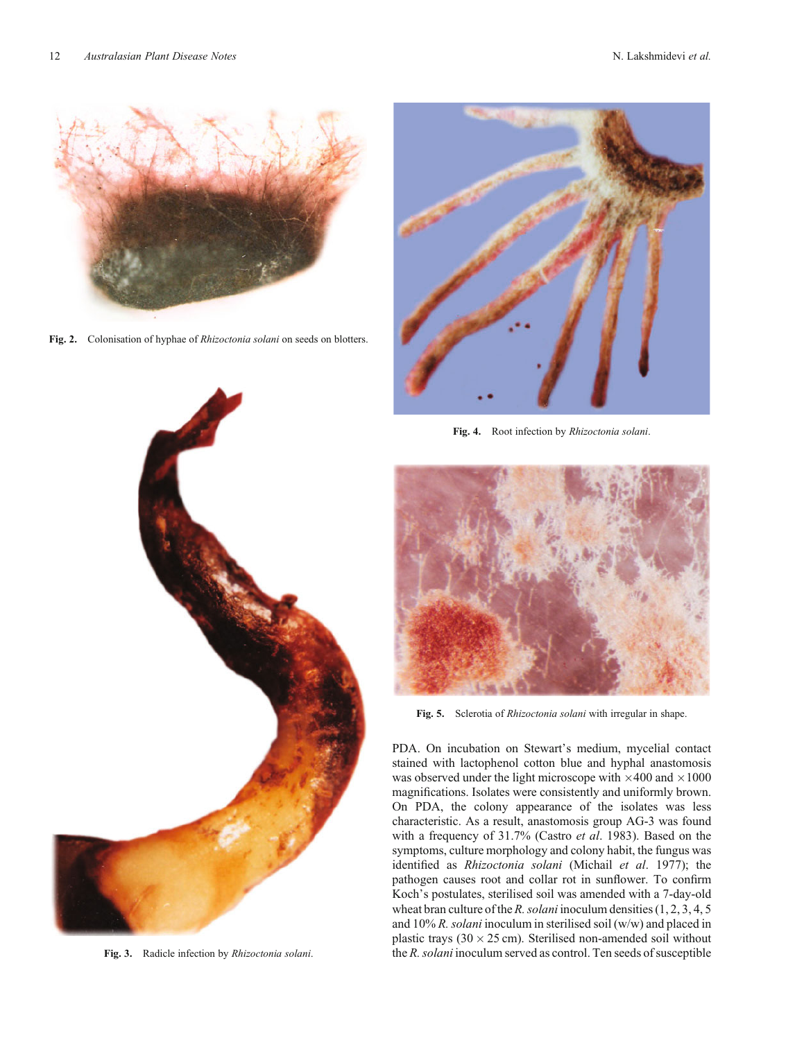

**Fig. 2.** Colonisation of hyphae of *Rhizoctonia solani* on seeds on blotters.



**Fig. 3.** Radicle infection by *Rhizoctonia solani*.



**Fig. 4.** Root infection by *Rhizoctonia solani*.



**Fig. 5.** Sclerotia of *Rhizoctonia solani* with irregular in shape.

PDA. On incubation on Stewart's medium, mycelial contact stained with lactophenol cotton blue and hyphal anastomosis was observed under the light microscope with  $\times 400$  and  $\times 1000$ magnifications. Isolates were consistently and uniformly brown. On PDA, the colony appearance of the isolates was less characteristic. As a result, anastomosis group AG-3 was found with a frequency of 31.7% (Castro *et al*. 1983). Based on the symptoms, culture morphology and colony habit, the fungus was identified as *Rhizoctonia solani* (Michail *et al*. 1977); the pathogen causes root and collar rot in sunflower. To confirm Koch's postulates, sterilised soil was amended with a 7-day-old wheat bran culture of the *R. solani* inoculum densities (1, 2, 3, 4, 5 and 10% *R. solani* inoculum in sterilised soil (w/w) and placed in plastic trays  $(30 \times 25 \text{ cm})$ . Sterilised non-amended soil without the *R. solani* inoculum served as control. Ten seeds of susceptible